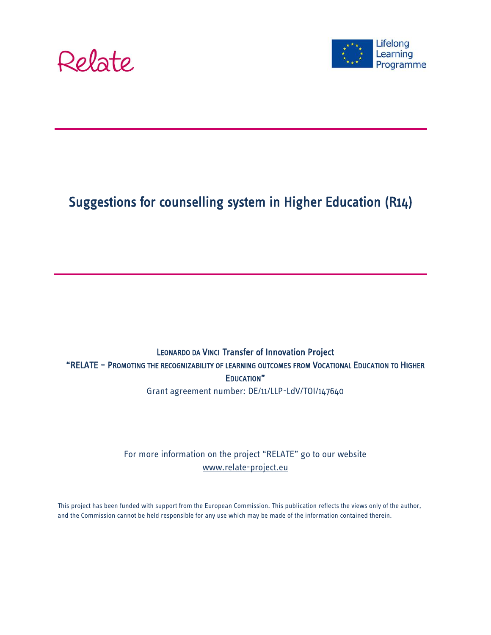



# Suggestions for counselling system in Higher Education (R14)

### LEONARDO DA VINCI Transfer of Innovation Project "RELATE – PROMOTING THE RECOGNIZABILITY OF LEARNING OUTCOMES FROM VOCATIONAL EDUCATION TO HIGHER EDUCATION"

Grant agreement number: DE/11/LLP-LdV/TOI/147640

For more information on the project "RELATE" go to our website [www.relate-project.eu](http://www.relate-project.eu/)

This project has been funded with support from the European Commission. This publication reflects the views only of the author, and the Commission cannot be held responsible for any use which may be made of the information contained therein.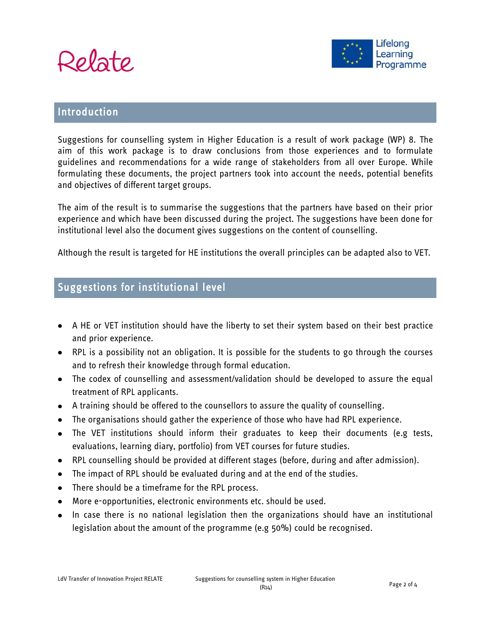



#### Introduction

Suggestions for counselling system in Higher Education is a result of work package (WP) 8. The aim of this work package is to draw conclusions from those experiences and to formulate guidelines and recommendations for a wide range of stakeholders from all over Europe. While formulating these documents, the project partners took into account the needs, potential benefits and objectives of different target groups.

The aim of the result is to summarise the suggestions that the partners have based on their prior experience and which have been discussed during the project. The suggestions have been done for institutional level also the document gives suggestions on the content of counselling.

Although the result is targeted for HE institutions the overall principles can be adapted also to VET.

### Suggestions for institutional level

- A HE or VET institution should have the liberty to set their system based on their best practice and prior experience.
- RPL is a possibility not an obligation. It is possible for the students to go through the courses and to refresh their knowledge through formal education.
- The codex of counselling and assessment/validation should be developed to assure the equal treatment of RPL applicants.
- A training should be offered to the counsellors to assure the quality of counselling.
- The organisations should gather the experience of those who have had RPL experience.
- The VET institutions should inform their graduates to keep their documents (e.g tests, evaluations, learning diary, portfolio) from VET courses for future studies.
- RPL counselling should be provided at different stages (before, during and after admission).
- The impact of RPL should be evaluated during and at the end of the studies.
- There should be a timeframe for the RPL process.
- More e-opportunities, electronic environments etc. should be used.
- In case there is no national legislation then the organizations should have an institutional legislation about the amount of the programme (e.g 50%) could be recognised.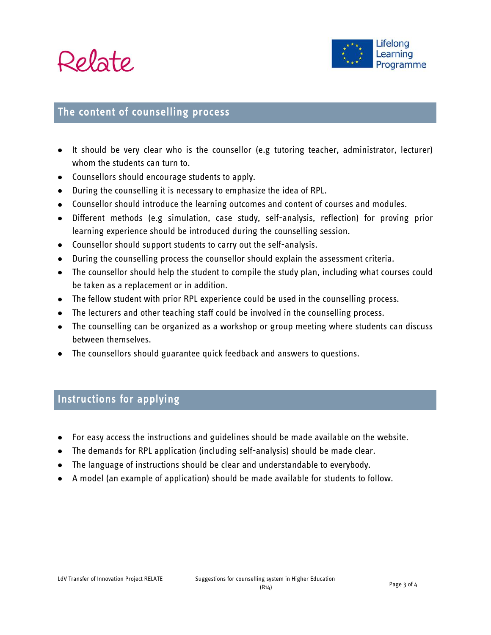



#### The content of counselling process

- It should be very clear who is the counsellor (e.g tutoring teacher, administrator, lecturer) whom the students can turn to.
- Counsellors should encourage students to apply.
- During the counselling it is necessary to emphasize the idea of RPL.
- Counsellor should introduce the learning outcomes and content of courses and modules.
- Different methods (e.g simulation, case study, self-analysis, reflection) for proving prior learning experience should be introduced during the counselling session.
- Counsellor should support students to carry out the self-analysis.
- During the counselling process the counsellor should explain the assessment criteria.
- The counsellor should help the student to compile the study plan, including what courses could be taken as a replacement or in addition.
- The fellow student with prior RPL experience could be used in the counselling process.
- The lecturers and other teaching staff could be involved in the counselling process.
- The counselling can be organized as a workshop or group meeting where students can discuss between themselves.
- The counsellors should guarantee quick feedback and answers to questions.

### Instructions for applying

- For easy access the instructions and guidelines should be made available on the website.
- The demands for RPL application (including self-analysis) should be made clear.
- The language of instructions should be clear and understandable to everybody.
- A model (an example of application) should be made available for students to follow.  $\bullet$